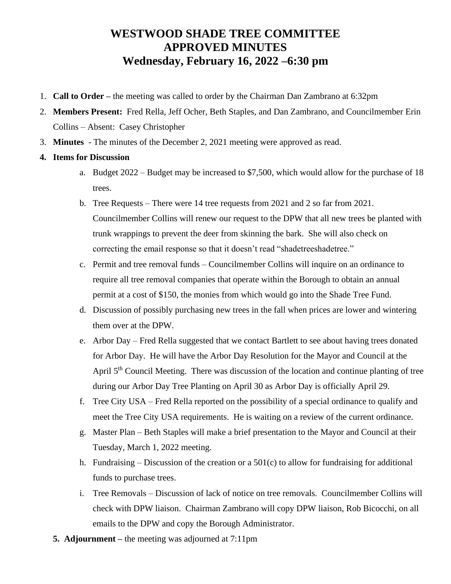## **WESTWOOD SHADE TREE COMMITTEE APPROVED MINUTES Wednesday, February 16, 2022 –6:30 pm**

- 1. **Call to Order –** the meeting was called to order by the Chairman Dan Zambrano at 6:32pm
- 2. **Members Present:** Fred Rella, Jeff Ocher, Beth Staples, and Dan Zambrano, and Councilmember Erin Collins – Absent: Casey Christopher
- 3. **Minutes**  The minutes of the December 2, 2021 meeting were approved as read.
- **4. Items for Discussion**
	- a. Budget 2022 Budget may be increased to \$7,500, which would allow for the purchase of 18 trees.
	- b. Tree Requests There were 14 tree requests from 2021 and 2 so far from 2021. Councilmember Collins will renew our request to the DPW that all new trees be planted with trunk wrappings to prevent the deer from skinning the bark. She will also check on correcting the email response so that it doesn't read "shadetreeshadetree."
	- c. Permit and tree removal funds Councilmember Collins will inquire on an ordinance to require all tree removal companies that operate within the Borough to obtain an annual permit at a cost of \$150, the monies from which would go into the Shade Tree Fund.
	- d. Discussion of possibly purchasing new trees in the fall when prices are lower and wintering them over at the DPW.
	- e. Arbor Day Fred Rella suggested that we contact Bartlett to see about having trees donated for Arbor Day. He will have the Arbor Day Resolution for the Mayor and Council at the April  $5<sup>th</sup>$  Council Meeting. There was discussion of the location and continue planting of tree during our Arbor Day Tree Planting on April 30 as Arbor Day is officially April 29.
	- f. Tree City USA Fred Rella reported on the possibility of a special ordinance to qualify and meet the Tree City USA requirements. He is waiting on a review of the current ordinance.
	- g. Master Plan Beth Staples will make a brief presentation to the Mayor and Council at their Tuesday, March 1, 2022 meeting.
	- h. Fundraising Discussion of the creation or a  $501(c)$  to allow for fundraising for additional funds to purchase trees.
	- i. Tree Removals Discussion of lack of notice on tree removals. Councilmember Collins will check with DPW liaison. Chairman Zambrano will copy DPW liaison, Rob Bicocchi, on all emails to the DPW and copy the Borough Administrator.
	- **5. Adjournment –** the meeting was adjourned at 7:11pm